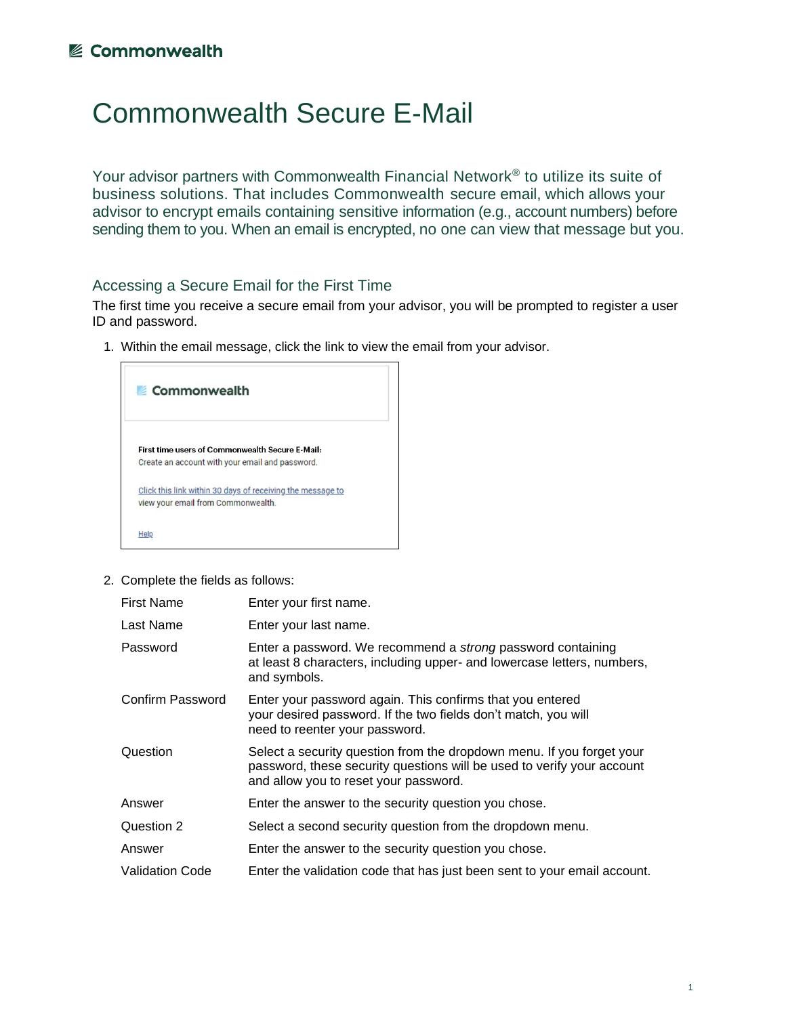## **■ Commonwealth**

## Commonwealth Secure E-Mail

Your advisor partners with Commonwealth Financial Network® to utilize its suite of business solutions. That includes Commonwealth secure email, which allows your advisor to encrypt emails containing sensitive information (e.g., account numbers) before sending them to you. When an email is encrypted, no one can view that message but you.

## Accessing a Secure Email for the First Time

The first time you receive a secure email from your advisor, you will be prompted to register a user ID and password.

1. Within the email message, click the link to view the email from your advisor.



2. Complete the fields as follows:

| <b>First Name</b>      | Enter your first name.                                                                                                                                                                   |
|------------------------|------------------------------------------------------------------------------------------------------------------------------------------------------------------------------------------|
| Last Name              | Enter your last name.                                                                                                                                                                    |
| Password               | Enter a password. We recommend a <i>strong</i> password containing<br>at least 8 characters, including upper- and lowercase letters, numbers,<br>and symbols.                            |
| Confirm Password       | Enter your password again. This confirms that you entered<br>your desired password. If the two fields don't match, you will<br>need to reenter your password.                            |
| Question               | Select a security question from the dropdown menu. If you forget your<br>password, these security questions will be used to verify your account<br>and allow you to reset your password. |
| Answer                 | Enter the answer to the security question you chose.                                                                                                                                     |
| Question 2             | Select a second security question from the dropdown menu.                                                                                                                                |
| Answer                 | Enter the answer to the security question you chose.                                                                                                                                     |
| <b>Validation Code</b> | Enter the validation code that has just been sent to your email account.                                                                                                                 |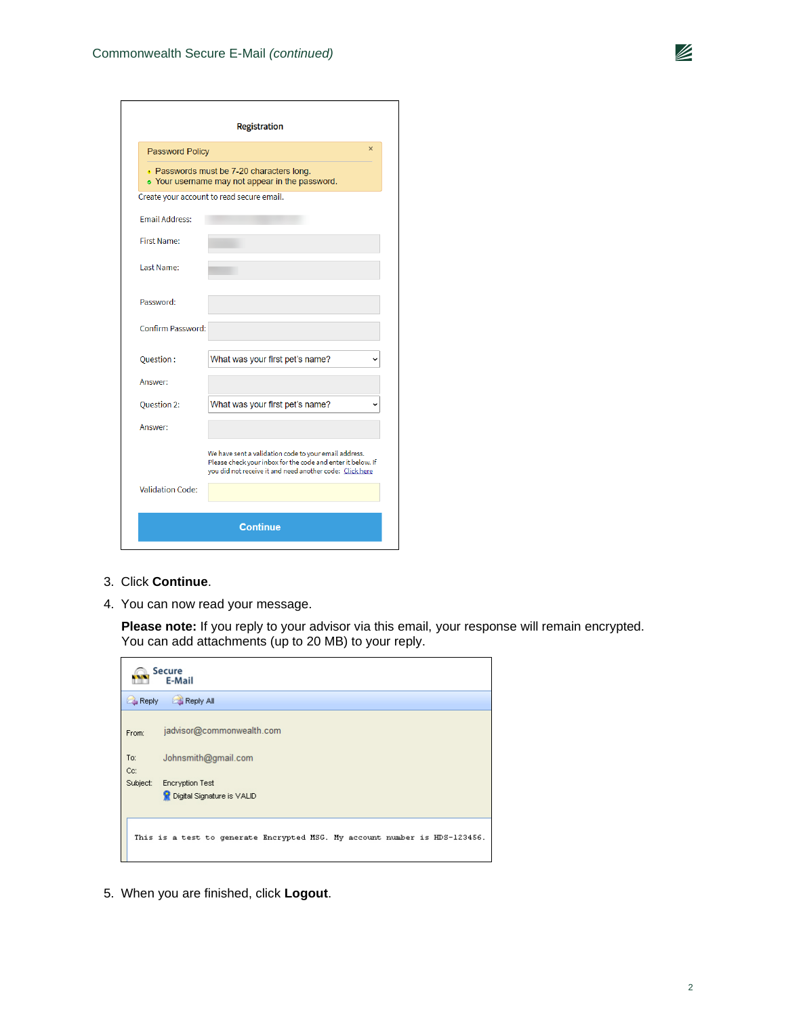|                         | Registration                                                                                                                                                                     |
|-------------------------|----------------------------------------------------------------------------------------------------------------------------------------------------------------------------------|
| <b>Password Policy</b>  | $\times$                                                                                                                                                                         |
|                         | . Passwords must be 7-20 characters long.<br>• Your username may not appear in the password.                                                                                     |
|                         | Create your account to read secure email.                                                                                                                                        |
| <b>Email Address:</b>   |                                                                                                                                                                                  |
| <b>First Name:</b>      |                                                                                                                                                                                  |
| <b>Last Name:</b>       |                                                                                                                                                                                  |
| Password:               |                                                                                                                                                                                  |
| Confirm Password:       |                                                                                                                                                                                  |
| Question:               | What was your first pet's name?                                                                                                                                                  |
| Answer:                 |                                                                                                                                                                                  |
| Question 2:             | What was your first pet's name?                                                                                                                                                  |
| Answer:                 |                                                                                                                                                                                  |
|                         | We have sent a validation code to your email address.<br>Please check your inbox for the code and enter it below. If<br>you did not receive it and need another code: Click here |
| <b>Validation Code:</b> |                                                                                                                                                                                  |
|                         | <b>Continue</b>                                                                                                                                                                  |

- 3. Click **Continue**.
- 4. You can now read your message.

**Please note:** If you reply to your advisor via this email, your response will remain encrypted. You can add attachments (up to 20 MB) to your reply.

|            | <b>Secure</b><br>E-Mail                                                    |
|------------|----------------------------------------------------------------------------|
| Reply      | Reply All                                                                  |
| From:      | jadvisor@commonwealth.com                                                  |
| To:<br>Cc: | Johnsmith@gmail.com                                                        |
| Subject:   | <b>Encryption Test</b><br>Digital Signature is VALID                       |
|            | This is a test to generate Encrypted MSG. My account number is HDS-123456. |

5. When you are finished, click **Logout**.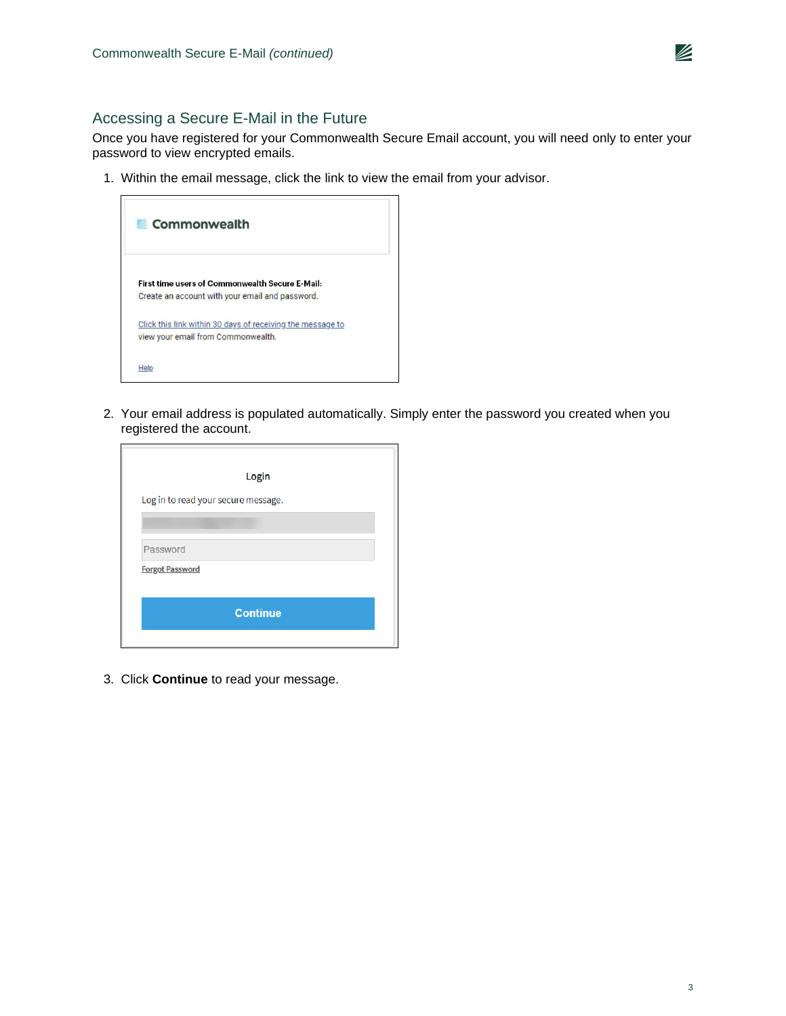

## Accessing a Secure E-Mail in the Future

Once you have registered for your Commonwealth Secure Email account, you will need only to enter your password to view encrypted emails.

1. Within the email message, click the link to view the email from your advisor.



2. Your email address is populated automatically. Simply enter the password you created when you registered the account.

|                        | Login                               |  |
|------------------------|-------------------------------------|--|
|                        | Log in to read your secure message. |  |
|                        |                                     |  |
| Password               |                                     |  |
| <b>Forgot Password</b> |                                     |  |
|                        |                                     |  |
|                        | <b>Continue</b>                     |  |

3. Click **Continue** to read your message.